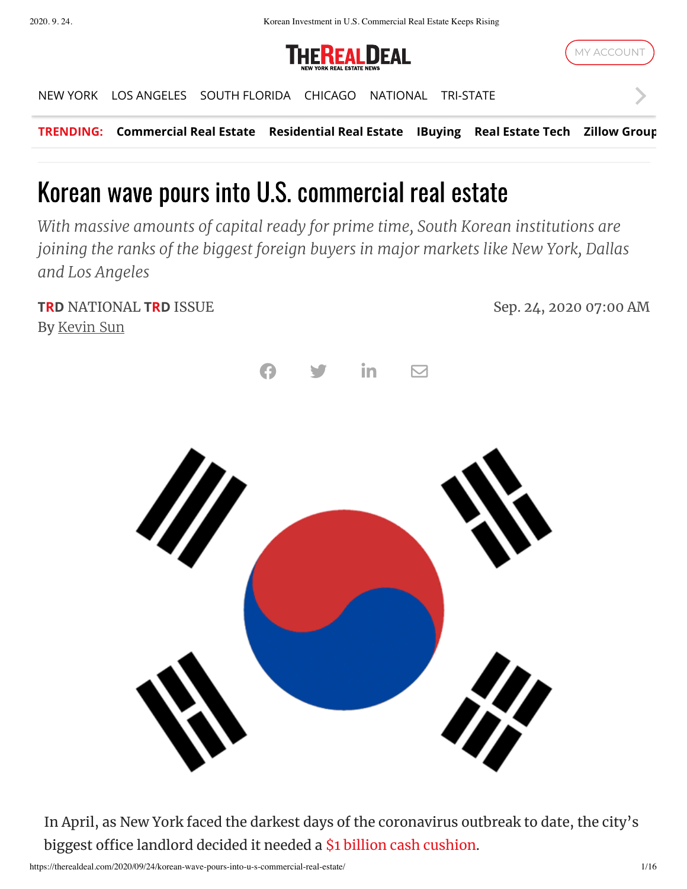2020. 9. 24. Korean Investment in U.S. Commercial Real Estate Keeps Rising





**TRENDING: [Commercial Real Estate](https://therealdeal.com/tag/commercial-real-estate/?utm_source=internal&utm_medium=ticker&utm_campaign=trending) [Residential Real Estate](https://therealdeal.com/tag/residential-real-estate/?utm_source=internal&utm_medium=ticker&utm_campaign=trending) [IBuying](https://therealdeal.com/tag/ibuying/?utm_source=internal&utm_medium=ticker&utm_campaign=trending) [Real Estate Tech](https://therealdeal.com/tag/real-estate-tech/?utm_source=internal&utm_medium=ticker&utm_campaign=trending) [Zillow Group](https://therealdeal.com/tag/zillow-group/?utm_source=internal&utm_medium=ticker&utm_campaign=trending)** [NEW YORK](https://therealdeal.com/) [LOS ANGELES](https://therealdeal.com/la/) [SOUTH FLORIDA](https://therealdeal.com/miami/) [CHICAGO](https://therealdeal.com/chicago/) [NATIONAL](https://therealdeal.com/national/) [TRI-STATE](https://therealdeal.com/tristate/)

# Korean wave pours into U.S. commercial real estate

*With massive amounts of capital ready for prime time, South Korean institutions are joining the ranks of the biggest foreign buyers in major markets like New York, Dallas and Los Angeles*

**TRD** NATIONAL **TRD** ISSUE Sep. 24, 2020 07:00 AM By [Kevin Sun](https://therealdeal.com/looks/Kevin+Sun/by/)



In April, as New York faced the darkest days of the coronavirus outbreak to date, the city's biggest office landlord decided it needed a \$1 billion cash [cushion](https://therealdeal.com/2020/04/23/sl-green-preparing-1b-coronavirus-cushion/).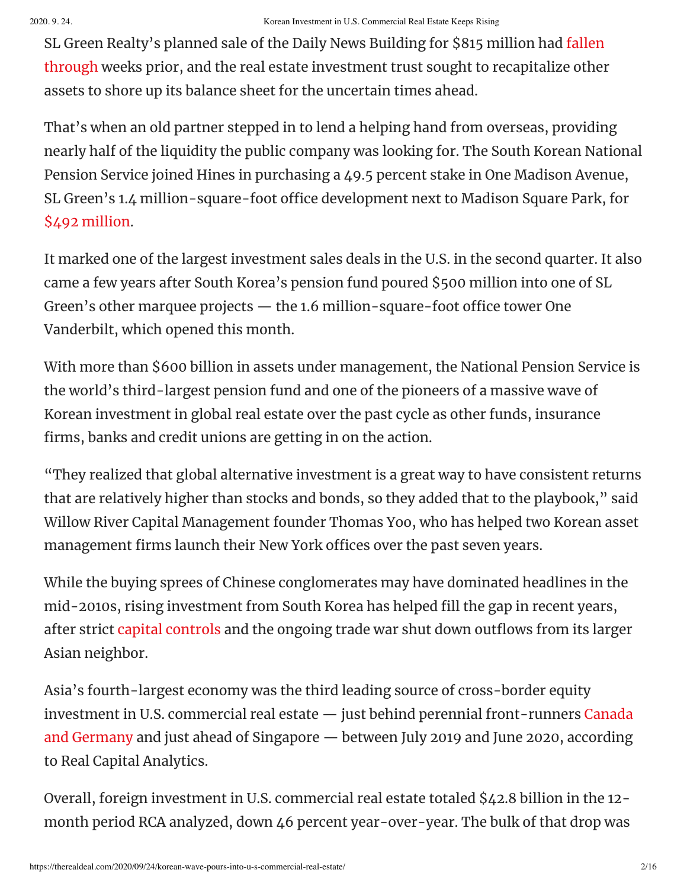SL Green Realty's planned sale of the Daily News Building for \$815 million had fallen through weeks prior, and the real estate investment trust sought to [recapitalize](https://therealdeal.com/2020/03/25/jacob-chetrit-pulls-out-of-815m-daily-news-building-deal-sl-green-keeps-his-35m-deposit/) other assets to shore up its balance sheet for the uncertain times ahead.

That's when an old partner stepped in to lend a helping hand from overseas, providing nearly half of the liquidity the public company was looking for. The South Korean National Pension Service joined Hines in purchasing a 49.5 percent stake in One Madison Avenue, SL Green's 1.4 million-square-foot office development next to Madison Square Park, for \$492 [million](https://therealdeal.com/2020/05/05/sl-green-sells-half-of-one-madison-to-hines-nps-of-korea/).

It marked one of the largest investment sales deals in the U.S. in the second quarter. It also came a few years after South Korea's pension fund poured \$500 million into one of SL Green's other marquee projects  $-$  the 1.6 million-square-foot office tower One Vanderbilt, which opened this month.

With more than \$600 billion in assets under management, the National Pension Service is the world's third-largest pension fund and one of the pioneers of a massive wave of Korean investment in global real estate over the past cycle as other funds, insurance firms, banks and credit unions are getting in on the action.

"They realized that global alternative investment is a great way to have consistent returns that are relatively higher than stocks and bonds, so they added that to the playbook, " said Willow River Capital Management founder Thomas Yoo, who has helped two Korean asset management firms launch their New York offices over the past seven years.

While the buying sprees of Chinese conglomerates may have dominated headlines in the mid-2010s, rising investment from South Korea has helped fill the gap in recent years, after strict capital [controls](https://therealdeal.com/issues_articles/building-a-great-wall-around-money-from-china/) and the ongoing trade war shut down outflows from its larger Asian neighbor.

Asia's fourth-largest economy was the third leading source of cross-border equity investment in U.S. commercial real estate — just behind perennial [front-runners](https://therealdeal.com/issues_articles/nycs-new-global-investment-fix/) Canada and Germany and just ahead of Singapore — between July 2019 and June 2020, according to Real Capital Analytics.

Overall, foreign investment in U.S. commercial real estate totaled \$42.8 billion in the 12 month period RCA analyzed, down 46 percent year-over-year. The bulk of that drop was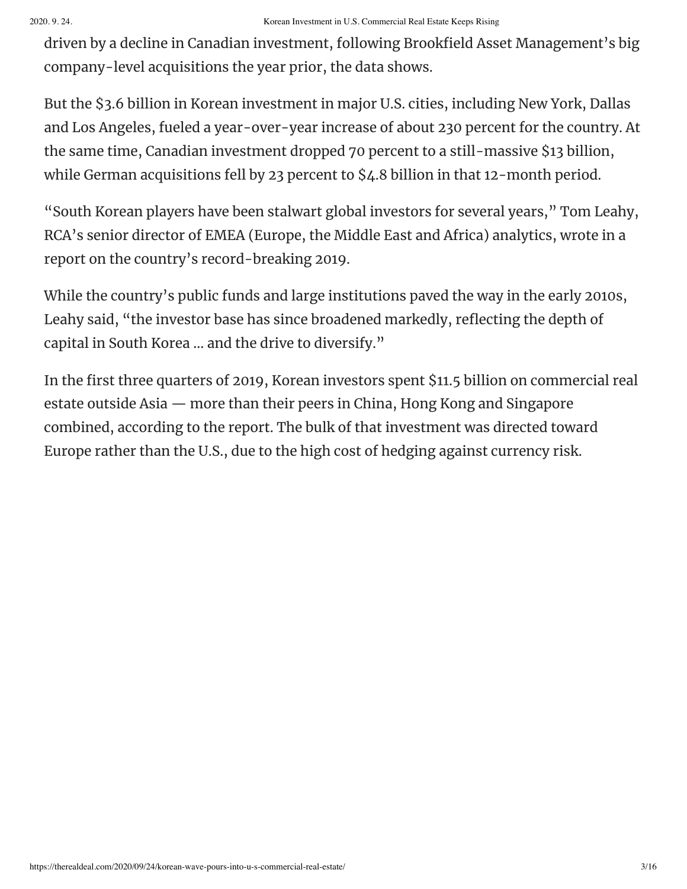driven by a decline in Canadian investment, following Brookfield Asset Management's big company-level acquisitions the year prior, the data shows.

But the \$3.6 billion in Korean investment in major U.S. cities, including New York, Dallas and Los Angeles, fueled a year-over-year increase of about 230 percent for the country. At the same time, Canadian investment dropped 70 percent to a still-massive \$13 billion, while German acquisitions fell by 23 percent to \$4.8 billion in that 12-month period.

"South Korean players have been stalwart global investors for several years, " Tom Leahy, RCA's senior director of EMEA (Europe, the Middle East and Africa) analytics, wrote in a report on the country's record-breaking 2019.

While the country's public funds and large institutions paved the way in the early 2010s, Leahy said, "the investor base has since broadened markedly, reflecting the depth of capital in South Korea … and the drive to diversify."

In the first three quarters of 2019, Korean investors spent \$11.5 billion on commercial real estate outside Asia — more than their peers in China, Hong Kong and Singapore combined, according to the report. The bulk of that investment was directed toward Europe rather than the U.S., due to the high cost of hedging against currency risk.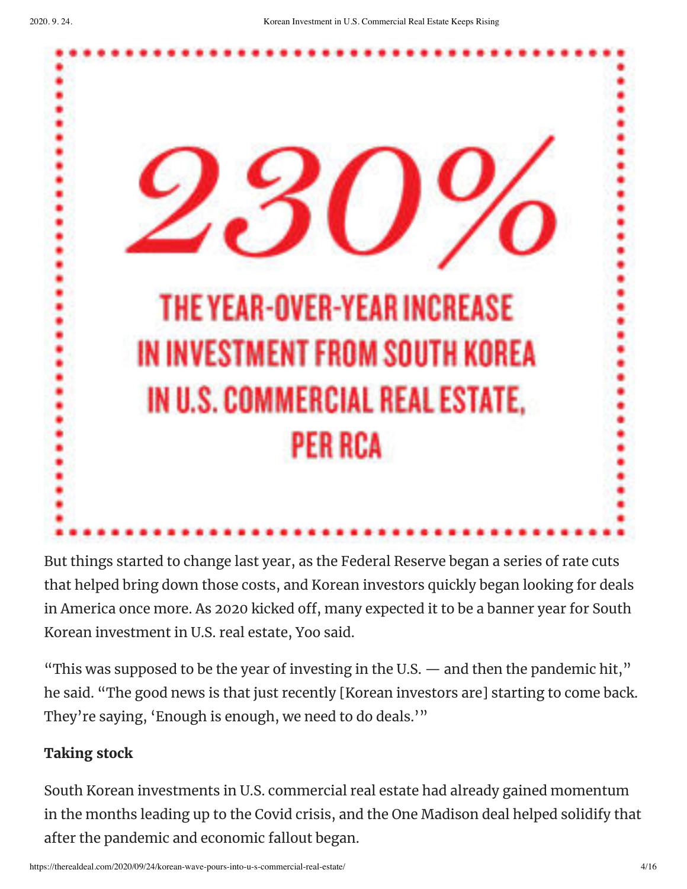

But things started to change last year, as the Federal Reserve began a series of rate cuts that helped bring down those costs, and Korean investors quickly began looking for deals in America once more. As 2020 kicked off, many expected it to be a banner year for South Korean investment in U.S. real estate, Yoo said.

"This was supposed to be the year of investing in the U.S.  $-$  and then the pandemic hit," he said. "The good news is that just recently [Korean investors are] starting to come back. They're saying, 'Enough is enough, we need to do deals.'"

## **Taking stock**

South Korean investments in U.S. commercial real estate had already gained momentum in the months leading up to the Covid crisis, and the One Madison deal helped solidify that after the pandemic and economic fallout began.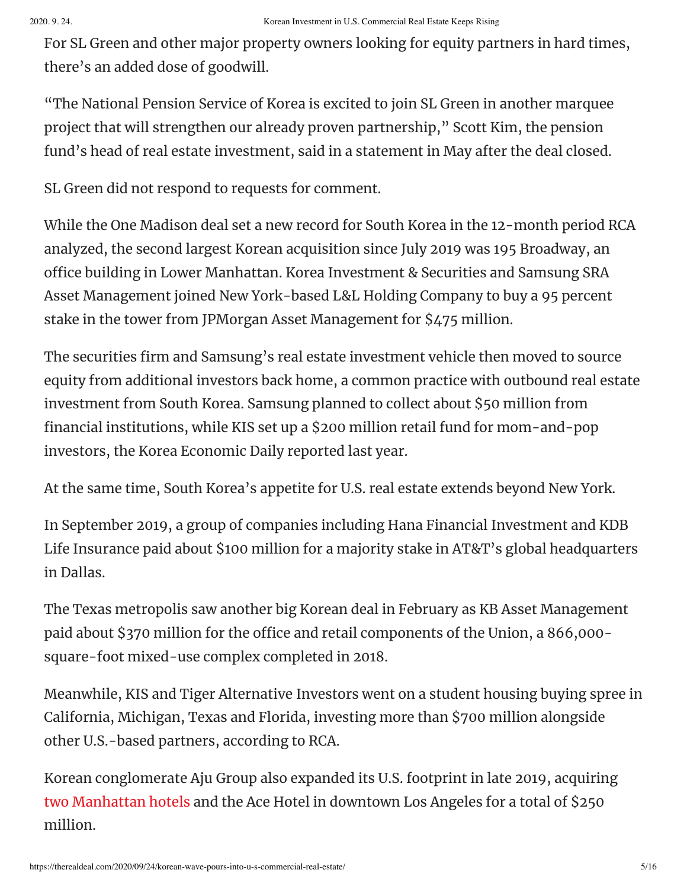For SL Green and other major property owners looking for equity partners in hard times, there's an added dose of goodwill.

"The National Pension Service of Korea is excited to join SL Green in another marquee project that will strengthen our already proven partnership, " Scott Kim, the pension fund's head of real estate investment, said in a statement in May after the deal closed.

SL Green did not respond to requests for comment.

While the One Madison deal set a new record for South Korea in the 12-month period RCA analyzed, the second largest Korean acquisition since July 2019 was 195 Broadway, an office building in Lower Manhattan. Korea Investment & Securities and Samsung SRA Asset Management joined New York-based L&L Holding Company to buy a 95 percent stake in the tower from JPMorgan Asset Management for \$475 million.

The securities firm and Samsung's real estate investment vehicle then moved to source equity from additional investors back home, a common practice with outbound real estate investment from South Korea. Samsung planned to collect about \$50 million from financial institutions, while KIS set up a \$200 million retail fund for mom-and-pop investors, the Korea Economic Daily reported last year.

At the same time, South Korea's appetite for U.S. real estate extends beyond New York.

In September 2019, a group of companies including Hana Financial Investment and KDB Life Insurance paid about \$100 million for a majority stake in AT&T's global headquarters in Dallas.

The Texas metropolis saw another big Korean deal in February as KB Asset Management paid about \$370 million for the office and retail components of the Union, a 866,000square-foot mixed-use complex completed in 2018.

Meanwhile, KIS and Tiger Alternative Investors went on a student housing buying spree in California, Michigan, Texas and Florida, investing more than \$700 million alongside other U.S.-based partners, according to RCA.

Korean conglomerate Aju Group also expanded its U.S. footprint in late 2019, acquiring two [Manhattan](https://therealdeal.com/2019/09/30/south-korean-firm-snaps-up-two-midtown-hotels-for-137m/) hotels and the Ace Hotel in downtown Los Angeles for a total of \$250 million.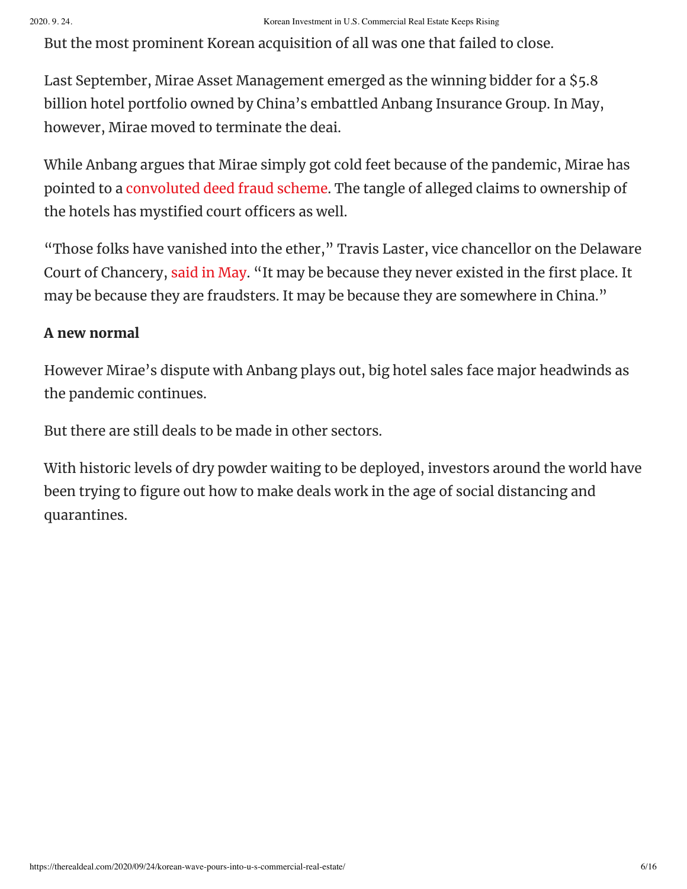But the most prominent Korean acquisition of all was one that failed to close.

Last September, Mirae Asset Management emerged as the winning bidder for a \$5.8 billion hotel portfolio owned by China's embattled Anbang Insurance Group. In May, however, Mirae moved to terminate the deai.

While Anbang argues that Mirae simply got cold feet because of the pandemic, Mirae has pointed to a [convoluted](https://therealdeal.com/2020/08/31/allegations-fly-in-trial-over-anbang-and-miraes-5-8b-hotel-deal/) deed fraud scheme. The tangle of alleged claims to ownership of the hotels has mystified court officers as well.

"Those folks have vanished into the ether, " Travis Laster, vice chancellor on the Delaware Court of Chancery, said in [May](https://therealdeal.com/2020/05/22/buyers-remorse-how-anbangs-5-8b-hotel-deal-went-sideways/). "It may be because they never existed in the first place. It may be because they are fraudsters. It may be because they are somewhere in China."

### **A new normal**

However Mirae's dispute with Anbang plays out, big hotel sales face major headwinds as the pandemic continues.

But there are still deals to be made in other sectors.

With historic levels of dry powder waiting to be deployed, investors around the world have been trying to figure out how to make deals work in the age of social distancing and quarantines.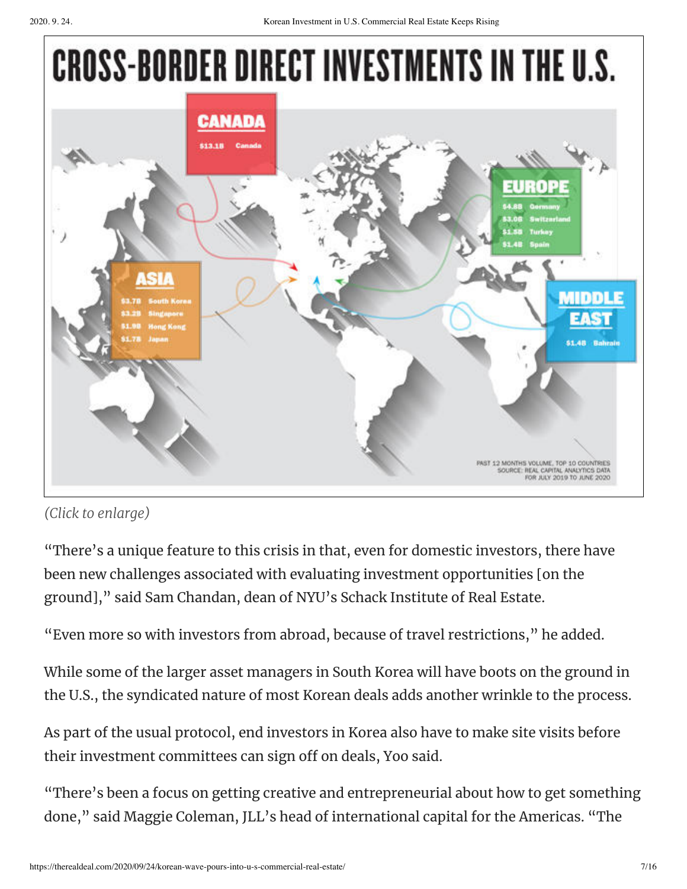# **CROSS-BORDER DIRECT INVESTMENTS IN THE U.S.**



## *(Click to enlarge)*

"There's a unique feature to this crisis in that, even for domestic investors, there have been new challenges associated with evaluating investment opportunities [on the ground], " said Sam Chandan, dean of NYU's Schack Institute of Real Estate.

"Even more so with investors from abroad, because of travel restrictions, " he added.

While some of the larger asset managers in South Korea will have boots on the ground in the U.S., the syndicated nature of most Korean deals adds another wrinkle to the process.

As part of the usual protocol, end investors in Korea also have to make site visits before their investment committees can sign off on deals, Yoo said.

"There's been a focus on getting creative and entrepreneurial about how to get something done, " said Maggie Coleman, JLL's head of international capital for the Americas. "The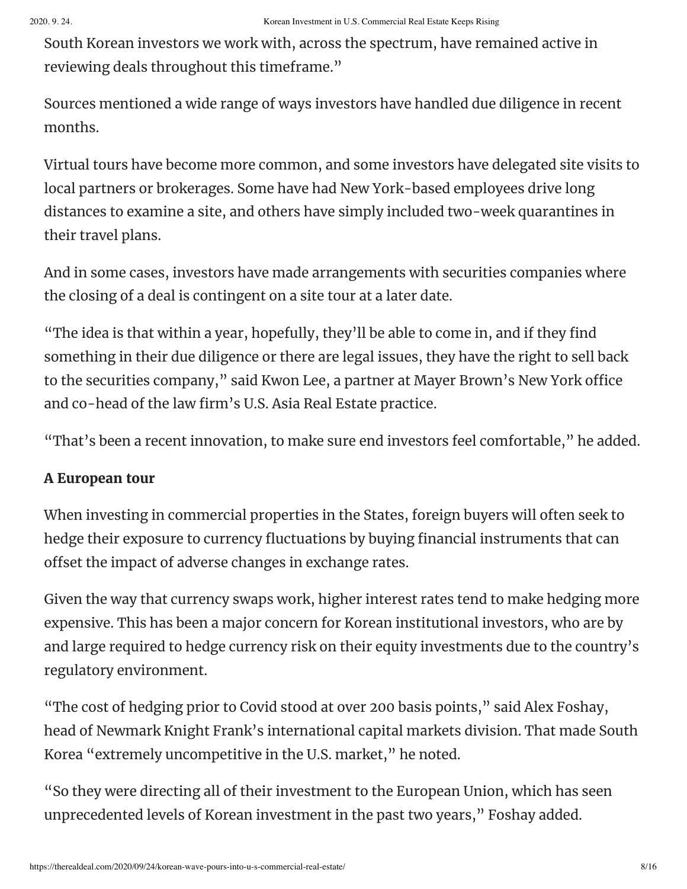South Korean investors we work with, across the spectrum, have remained active in reviewing deals throughout this timeframe."

Sources mentioned a wide range of ways investors have handled due diligence in recent months.

Virtual tours have become more common, and some investors have delegated site visits to local partners or brokerages. Some have had New York-based employees drive long distances to examine a site, and others have simply included two-week quarantines in their travel plans.

And in some cases, investors have made arrangements with securities companies where the closing of a deal is contingent on a site tour at a later date.

"The idea is that within a year, hopefully, they'll be able to come in, and if they find something in their due diligence or there are legal issues, they have the right to sell back to the securities company," said Kwon Lee, a partner at Mayer Brown's New York office and co-head of the law firm's U.S. Asia Real Estate practice.

"That's been a recent innovation, to make sure end investors feel comfortable, " he added.

### **A European tour**

When investing in commercial properties in the States, foreign buyers will often seek to hedge their exposure to currency fluctuations by buying financial instruments that can offset the impact of adverse changes in exchange rates.

Given the way that currency swaps work, higher interest rates tend to make hedging more expensive. This has been a major concern for Korean institutional investors, who are by and large required to hedge currency risk on their equity investments due to the country's regulatory environment.

"The cost of hedging prior to Covid stood at over 200 basis points, " said Alex Foshay, head of Newmark Knight Frank's international capital markets division. That made South Korea "extremely uncompetitive in the U.S. market, " he noted.

"So they were directing all of their investment to the European Union, which has seen unprecedented levels of Korean investment in the past two years, " Foshay added.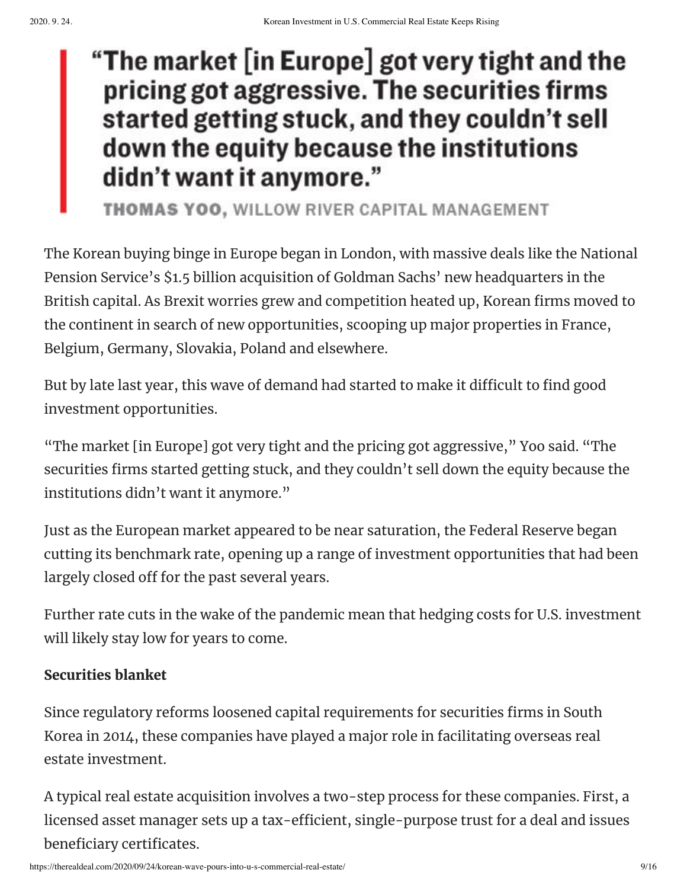# "The market [in Europe] got very tight and the pricing got aggressive. The securities firms started getting stuck, and they couldn't sell down the equity because the institutions didn't want it anymore."

**THOMAS YOO, WILLOW RIVER CAPITAL MANAGEMENT** 

The Korean buying binge in Europe began in London, with massive deals like the National Pension Service's \$1.5 billion acquisition of Goldman Sachs' new headquarters in the British capital. As Brexit worries grew and competition heated up, Korean firms moved to the continent in search of new opportunities, scooping up major properties in France, Belgium, Germany, Slovakia, Poland and elsewhere.

But by late last year, this wave of demand had started to make it difficult to find good investment opportunities.

"The market [in Europe] got very tight and the pricing got aggressive, " Yoo said. "The securities firms started getting stuck, and they couldn't sell down the equity because the institutions didn't want it anymore."

Just as the European market appeared to be near saturation, the Federal Reserve began cutting its benchmark rate, opening up a range of investment opportunities that had been largely closed off for the past several years.

Further rate cuts in the wake of the pandemic mean that hedging costs for U.S. investment will likely stay low for years to come.

## **Securities blanket**

Since regulatory reforms loosened capital requirements for securities firms in South Korea in 2014, these companies have played a major role in facilitating overseas real estate investment.

A typical real estate acquisition involves a two-step process for these companies. First, a licensed asset manager sets up a tax-efficient, single-purpose trust for a deal and issues beneficiary certificates.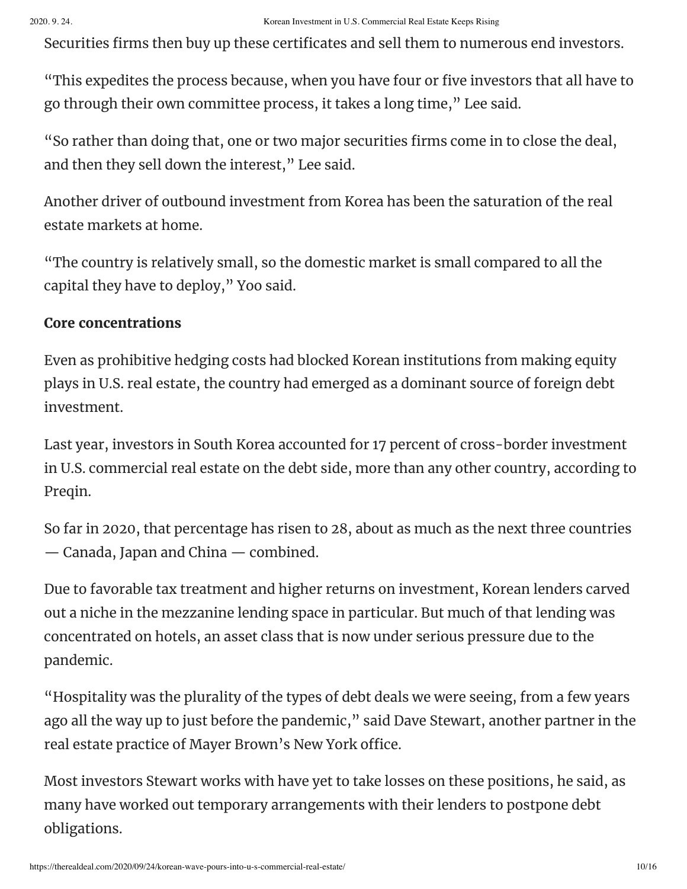Securities firms then buy up these certificates and sell them to numerous end investors.

"This expedites the process because, when you have four or five investors that all have to go through their own committee process, it takes a long time, " Lee said.

"So rather than doing that, one or two major securities firms come in to close the deal, and then they sell down the interest, " Lee said.

Another driver of outbound investment from Korea has been the saturation of the real estate markets at home.

"The country is relatively small, so the domestic market is small compared to all the capital they have to deploy, " Yoo said.

#### **Core concentrations**

Even as prohibitive hedging costs had blocked Korean institutions from making equity plays in U.S. real estate, the country had emerged as a dominant source of foreign debt investment.

Last year, investors in South Korea accounted for 17 percent of cross-border investment in U.S. commercial real estate on the debt side, more than any other country, according to Preqin.

So far in 2020, that percentage has risen to 28, about as much as the next three countries — Canada, Japan and China — combined.

Due to favorable tax treatment and higher returns on investment, Korean lenders carved out a niche in the mezzanine lending space in particular. But much of that lending was concentrated on hotels, an asset class that is now under serious pressure due to the pandemic.

"Hospitality was the plurality of the types of debt deals we were seeing, from a few years ago all the way up to just before the pandemic, " said Dave Stewart, another partner in the real estate practice of Mayer Brown's New York office.

Most investors Stewart works with have yet to take losses on these positions, he said, as many have worked out temporary arrangements with their lenders to postpone debt obligations.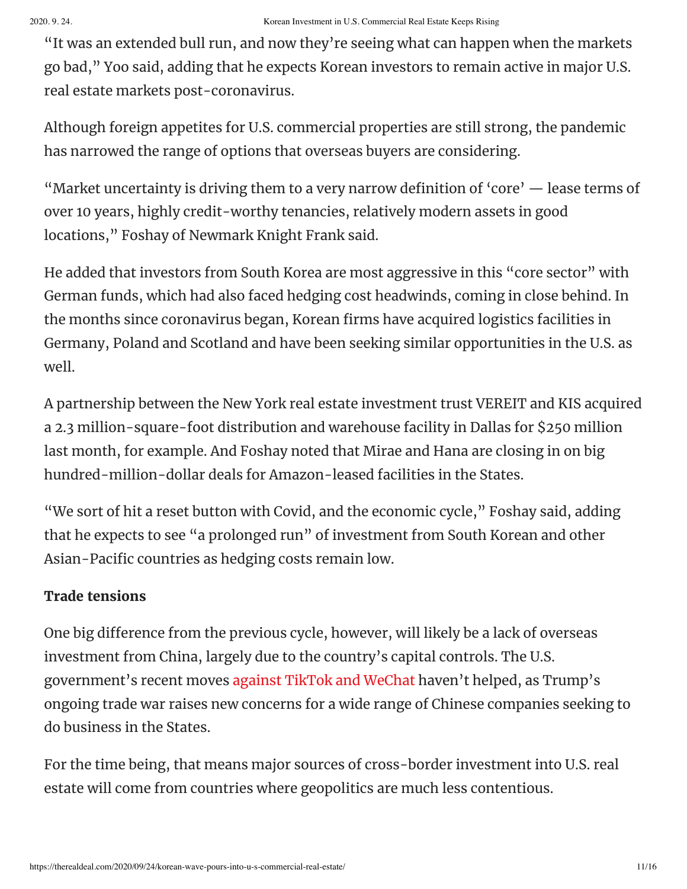"It was an extended bull run, and now they're seeing what can happen when the markets go bad, " Yoo said, adding that he expects Korean investors to remain active in major U.S. real estate markets post-coronavirus.

Although foreign appetites for U.S. commercial properties are still strong, the pandemic has narrowed the range of options that overseas buyers are considering.

"Market uncertainty is driving them to a very narrow definition of 'core'  $-$  lease terms of over 10 years, highly credit-worthy tenancies, relatively modern assets in good locations, " Foshay of Newmark Knight Frank said.

He added that investors from South Korea are most aggressive in this "core sector" with German funds, which had also faced hedging cost headwinds, coming in close behind. In the months since coronavirus began, Korean firms have acquired logistics facilities in Germany, Poland and Scotland and have been seeking similar opportunities in the U.S. as well.

A partnership between the New York real estate investment trust VEREIT and KIS acquired a 2.3 million-square-foot distribution and warehouse facility in Dallas for \$250 million last month, for example. And Foshay noted that Mirae and Hana are closing in on big hundred-million-dollar deals for Amazon-leased facilities in the States.

"We sort of hit a reset button with Covid, and the economic cycle, " Foshay said, adding that he expects to see "a prolonged run" of investment from South Korean and other Asian-Pacific countries as hedging costs remain low.

### **Trade tensions**

One big difference from the previous cycle, however, will likely be a lack of overseas investment from China, largely due to the country's capital controls. The U.S. government's recent moves against TikTok and [WeChat](https://therealdeal.com/2020/09/03/tiktok-clarice-why-the-governments-moves-against-chinese-firms-could-hurt-real-estate/) haven't helped, as Trump's ongoing trade war raises new concerns for a wide range of Chinese companies seeking to do business in the States.

For the time being, that means major sources of cross-border investment into U.S. real estate will come from countries where geopolitics are much less contentious.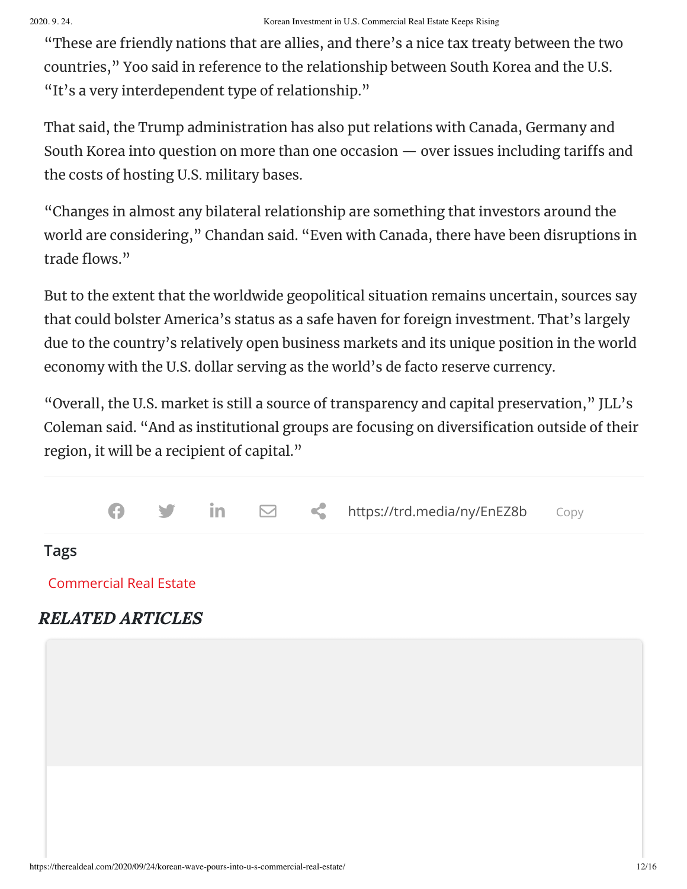"These are friendly nations that are allies, and there's a nice tax treaty between the two countries, " Yoo said in reference to the relationship between South Korea and the U.S. "It's a very interdependent type of relationship."

That said, the Trump administration has also put relations with Canada, Germany and South Korea into question on more than one occasion  $-$  over issues including tariffs and the costs of hosting U.S. military bases.

"Changes in almost any bilateral relationship are something that investors around the world are considering, " Chandan said. "Even with Canada, there have been disruptions in trade flows."

But to the extent that the worldwide geopolitical situation remains uncertain, sources say that could bolster America's status as a safe haven for foreign investment. That's largely due to the country's relatively open business markets and its unique position in the world economy with the U.S. dollar serving as the world's de facto reserve currency.

"Overall, the U.S. market is still a source of transparency and capital preservation, " JLL's Coleman said. "And as institutional groups are focusing on diversification outside of their region, it will be a recipient of capital."



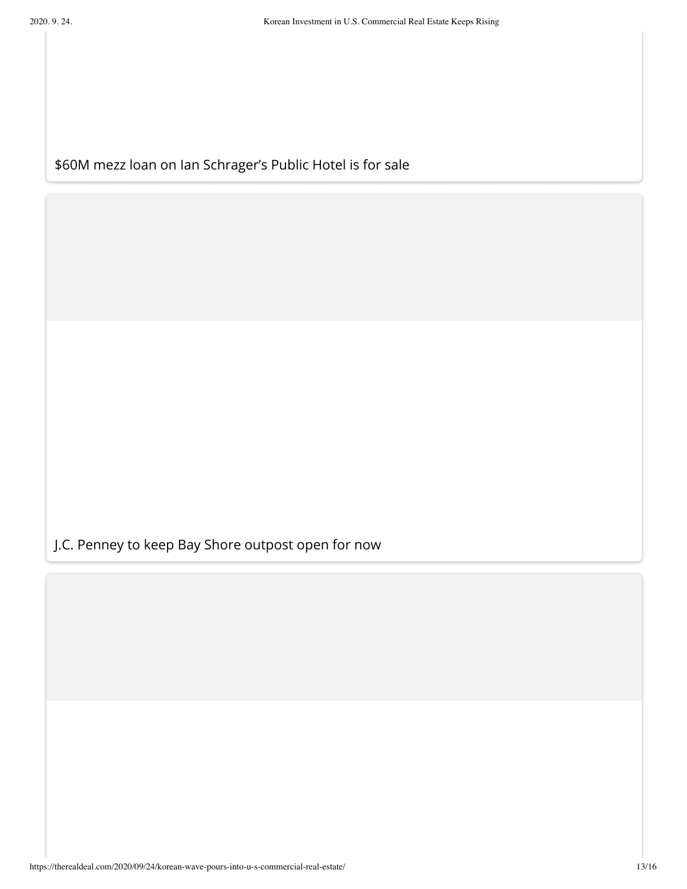### [\\$60M mezz loan on Ian Schrager's Public Hotel is for sale](https://therealdeal.com/2020/09/24/60m-mezz-loan-on-ian-schragers-public-hotel-is-for-sale/?utm_source=internal&utm_medium=after_article&utm_campaign=related_article)

[J.C. Penney to keep Bay Shore outpost open for now](https://therealdeal.com/2020/09/24/j-c-penney-to-keep-bay-shore-outpost-open-for-now/?utm_source=internal&utm_medium=after_article&utm_campaign=related_article)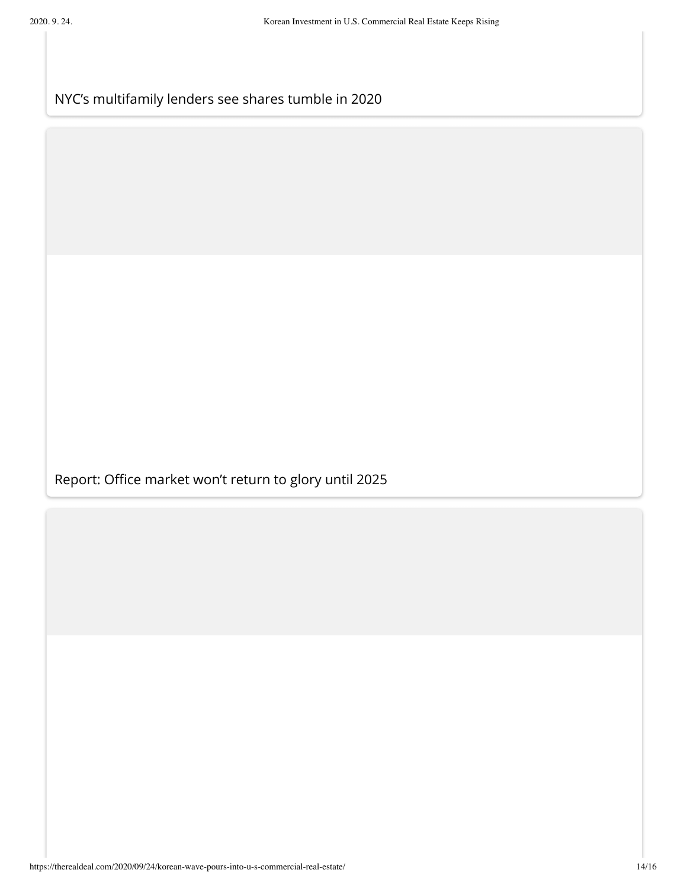[NYC's multifamily lenders see shares tumble in 2020](https://therealdeal.com/2020/09/24/nycs-multifamily-lenders-see-shares-tumble-in-2020/?utm_source=internal&utm_medium=after_article&utm_campaign=related_article)

Report: Office market won't return to glory until 2025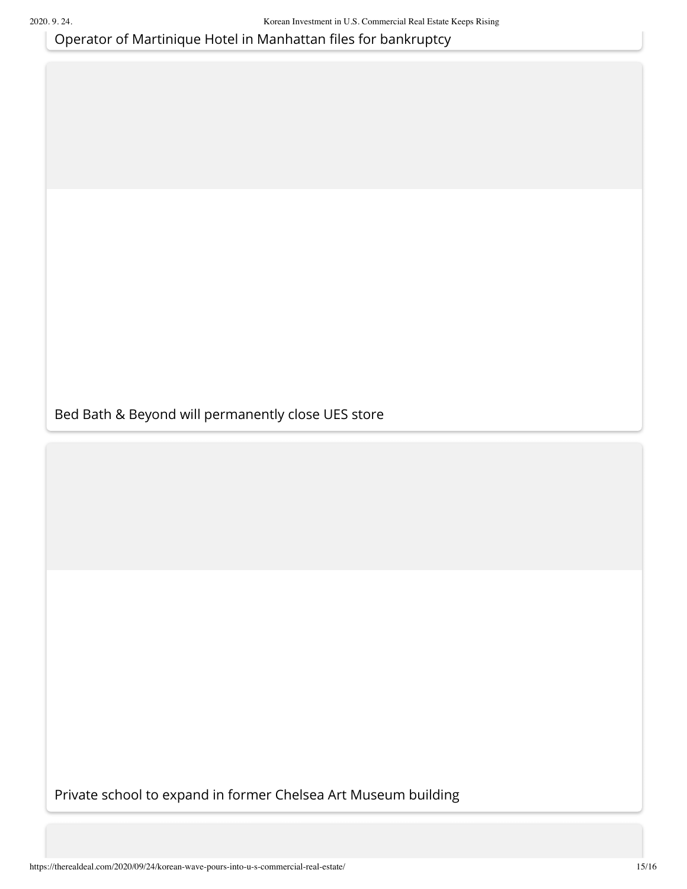Operator of Martinique Hotel in Manhattan files for bankruptcy

[Bed Bath & Beyond will permanently close UES store](https://therealdeal.com/2020/09/23/bed-bath-beyond-will-permanently-close-ues-store/?utm_source=internal&utm_medium=after_article&utm_campaign=related_article)

[Private school to expand in former Chelsea Art Museum building](https://therealdeal.com/2020/09/23/private-school-to-expand-in-former-chelsea-art-museum-building/?utm_source=internal&utm_medium=after_article&utm_campaign=related_article)